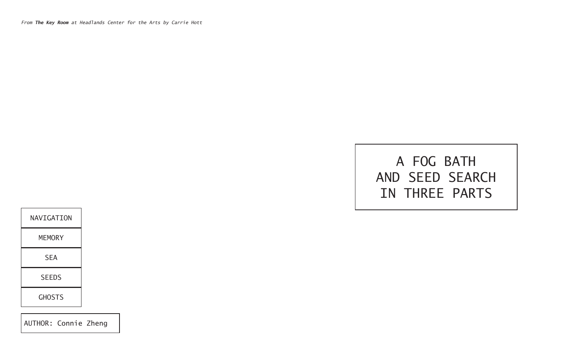*From The Key Room at Headlands Center for the Arts by Carrie Hott*

## A FOG BATH AND SEED SEARCH IN THREE PARTS



AUTHOR: Connie Zheng